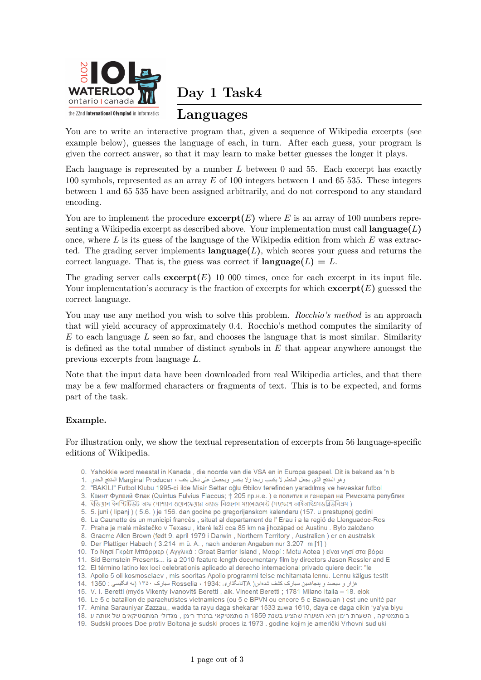

**Day 1 Task4**

## **Languages**

You are to write an interactive program that, given a sequence of Wikipedia excerpts (see example below), guesses the language of each, in turn. After each guess, your program is given the correct answer, so that it may learn to make better guesses the longer it plays.

Each language is represented by a number *L* between 0 and 55. Each excerpt has exactly 100 symbols, represented as an array *E* of 100 integers between 1 and 65 535. These integers between 1 and 65 535 have been assigned arbitrarily, and do not correspond to any standard encoding.

You are to implement the procedure  $\mathbf{except}(E)$  where *E* is an array of 100 numbers representing a Wikipedia excerpt as described above. Your implementation must call **language(***L***)** once, where *L* is its guess of the language of the Wikipedia edition from which *E* was extracted. The grading server implements  $language(L)$ , which scores your guess and returns the correct language. That is, the guess was correct if  $\text{language}(L) = L$ .

The grading server calls  $\mathbf{except}(E)$  10 000 times, once for each excerpt in its input file. Your implementation's accuracy is the fraction of excerpts for which  $\mathbf{except}(E)$  guessed the correct language.

You may use any method you wish to solve this problem. *Rocchio's method* is an approach that will yield accuracy of approximately 0*.*4. Rocchio's method computes the similarity of *E* to each language *L* seen so far, and chooses the language that is most similar. Similarity is defined as the total number of distinct symbols in *E* that appear anywhere amongst the previous excerpts from language *L*.

Note that the input data have been downloaded from real Wikipedia articles, and that there may be a few malformed characters or fragments of text. This is to be expected, and forms part of the task.

### **Example.**

For illustration only, we show the textual representation of excerpts from 56 language-specific editions of Wikipedia.

- 0. Yshokkie word meestal in Kanada, die noorde van die VSA en in Europa gespeel. Dit is bekend as 'n b
- وهو المنتج الذي يجعل المنظم لا يكسب ربحا ولا يخس ويحصل على دخل يكف ، Marginal Producer المنتج الحدي . 1
- 2. "BAKILI" Futbol Klubu 1995-ci ildə Misir Səttar oğlu Əbilov tərəfindən yaradılmış və həvəskar futbol
- 3. Квинт Фулвий Флак (Quintus Fulvius Flaccus; † 205 пр.н.е.) е политик и генерал на Римската републик
- 4. ইন্ডিযান ইনস্টিটিউট অফ সোশ্যাল ওষেলফেযার অ্যান্ড বিজনেস ম্যানেজমেন্ট (সংক্ষেপে আইআইএসডব্লিউবিএম )
- 5. 5. juni (lipanj) (5.6.) je 156. dan godine po gregorijanskom kalendaru (157. u prestupnoj godini
- 6. La Caunette és un municipi francès, situat al departament de l'Erau i a la regió de Llenguadoc-Ros
- 7. Praha je malé městečko v Texasu, které leží cca 85 km na jihozápad od Austinu. Bylo založeno
- 8. Graeme Allen Brown (født 9. april 1979 i Darwin, Northern Territory, Australien) er en australsk
- 9. Der Plattiger Habach (3.214 m ü. A., nach anderen Angaben nur 3.207 m [1])
- 10. Το Νησί Γκρέιτ Μπάρριερ (Αγγλικά: Great Barrier Island, Μαορί: Motu Aotea) είναι νησί στα βόρει
- 11. Sid Bernstein Presents... is a 2010 feature-length documentary film by directors Jason Ressler and E 12. El término latino lex loci celebrationis aplicado al derecho internacional privado quiere decir: "le
- 13. Apollo 5 oli kosmoselaev, mis sooritas Apollo programmi teise mehitamata lennu. Lennu käigus testit
- هزار و سیصد و پنجاهمین سیارک کشف شدهاس( TAتامگذاری :Rosselia ، 1934 سیارک ۱۳۵۰ (به انگلیسی : 1350 . 14
- 15. V. I. Beretti (myös Vikenty Ivanovitš Beretti , alk. Vincent Beretti ; 1781 Milano Italia 18. elok
- 16. Le 5 e bataillon de parachutistes vietnamiens (ou 5 e BPVN ou encore 5 e Bawouan) est une unité par
- 17. Amina Sarauniyar Zazzau,, wadda ta rayu daga shekarar 1533 zuwa 1610, ɗaya ce daga cikin 'ya'ya biyu
- ב מתמטיקה , השערת רימן היא השערה שהציע בשנת 1859 ה מתמטיקאי ברנרד רימן , מגדולי המתמטיקאים של אותה ע .18
- 19. Sudski proces Doe protiv Boltona je sudski proces iz 1973. godine kojim je američki Vrhovni sud uki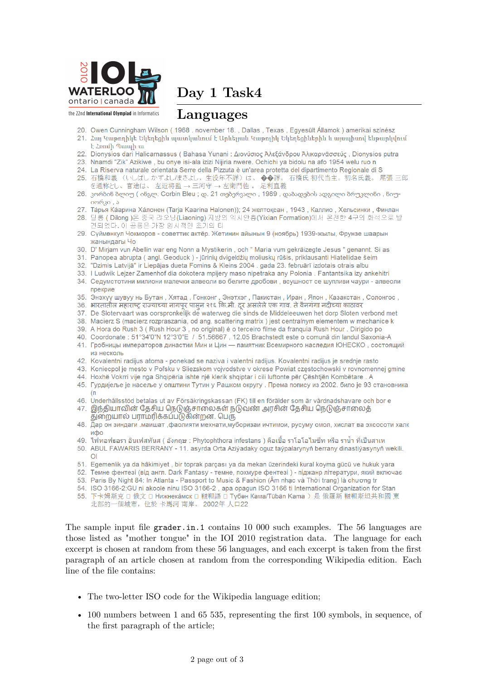

the 22nd International Olympiad in Informatics

Day 1 Task4

### Languages

- 20. Owen Cunningham Wilson (1968, november 18., Dallas, Texas, Egyesült Államok) amerikai színész 21. Հայ Կաթողիկե Եկեղեցին պատկանում է Արևեյյան Կաթոլիկ Եկեղեցիներին և այսպիսով ենթարկվում
- $\frac{1}{2}$  2nnul numb 22. Dionysios dari Halicarnassus (Bahasa Yunani : Διονύσιος Άλεξάνδρου Άλικαρνασσεύς, Dionysios putra
- 23. Nnamdi "Zik" Azikiwe, bu onye isi-ala izizi Nijiria nwere. Ochichi ya bidolu na afo 1954 welu ruo n
- 24. La Riserva naturale orientata Serre della Pizzuta è un'area protetta del dipartimento Regionale di S
- 25. 石橋和義 (いしばし かずよし/まさよし、生没年不詳)は、◆◆詳。石橋氏初代当主。初名氏義。尾張 三郎
- を通称とし、官途は、左近将監→三河守→左衛門佐。足利直義 26. კორბინ ბლიუ ( ინგლ. Corbin Bleu ; დ. 21 თებერვალი , 1989 , დაბადების ადგილი ბრუკლინი , ნიუ-
- $\cos 30, s$
- 27. Тарья Каарина Ха́лонен (Tarja Kaarina Halonen)); 24 желтоқсан, 1943, Каллио, Хельсинки, Финлан
- 28. 딜롱 (Dilong)은 중국 랴오닝(Liaoning) 자방의 익사안층(Yixian Formation)에서 온전한 4구의 화석으로 발 견되었다. 이 공룡은 가장 원사적인 초기의 티
- 29. Сүймөнкул Чокморов советтик актёр. Жетинин айынын 9 (ноябрь) 1939-жылы, Фрунзе шаарын жанындагы Чо
- 30. D' Mirjam vun Abellin war eng Nonn a Mystikerin, och " Maria vum gekräizegte Jesus " genannt. Si as
- 31. Panopea abrupta (angl. Geoduck) jūrinių dvigeldžių moliuskų rūšis, priklausanti Hiatellidae šeim
- 32. "Dzimis Latvijā" ir Liepājas dueta Fomins & Kleins 2004. gada 23. februārī izdotais otrais albu
- 33. I Ludwik Lejzer Zamenhof dia dokotera mpijery maso nipetraka any Polonia . Fantantsika izy ankehitri
- 34. Седумстотини милиони малечки алвеоли во белите дробови, всушност се шупливи чаури алвеоли прекрие
- 35. Энэхүү шувуу нь Бутан, Хятад, Гонконг, Энэтхэг, Пакистан, Иран, Япон, Казакстан, Солонгос,
- 36. भारतातील महाराष्ट्र राज्याच्या नागपूर पासून २१६ कि.मी. दूर असलेले एक गाव. ते वैनगंगा नदीच्या काठावर
- 37. De Slotervaart was oorspronkelijk de waterweg die sinds de Middeleeuwen het dorp Sloten verbond met
- 38. Macierz S (macierz rozpraszania, od ang. scattering matrix) jest centralnym elementem w mechanice k
- 39. A Hora do Rush 3 (Rush Hour 3, no original) é o terceiro filme da franquia Rush Hour . Dirigido po
- 40. Coordonate: 51°34'0"N 12°3'0"E / 51.56667, 12.05 Brachstedt este o comună din landul Saxonia-A
- 41. Гробницы императоров династии Мин и Цин памятник Всемирного наследия ЮНЕСКО, состоящий из несколь
- 42. Kovalentni radijus atoma ponekad se naziva i valentni radijus. Kovalentni radijus je srednje rasto
- 43. Koniecpol je mesto v Poľsku v Sliezskom vojvodstve v okrese Powiat częstochowski v rovnomennej gmine
- 44. Hoxhë Vokrri vije nga Shqipëria ishte një klerik shqiptar i cili luftonte për Çështjën Kombëtare . A
- 45. Гурдијеље је насеље у општини Тутин у Рашком округу . Према попису из 2002. било је 93 становника
- 46. Underhållsstöd betalas ut av Försäkringskassan (FK) till en förälder som är vårdnadshavare och bor e
- 47. இந்தியாவின் தேசிய நெடுஞ்சாலைகள் நடுவண் அரசின் தேசிய நெடுஞ்சாலைத் துறையால் பராமரிக்கப்படுகின்றன. பெரு
- 48. Дар он зиндаги маишат , фаолияти мехнати, муборизаи ичтимои, русуму омол, хислат ва эхсосоти халк ифо
- 49. ไฟทอฟธอรา อินเฟสทันส ( อังกฤษ : Phytophthora infestans ) คือเชื้อ ราโอโอไมซีท หรือ ราน้ำ ที่เป็นสาเห
- 50. ABUL FAWARIS BERRANY 11. asyrda Orta Aziýadaky oguz taýpalarynyň berrany dinastiýasynyň wekili.  $\overline{O}$
- 51. Egemenlik ya da hâkimiyet, bir toprak parçası ya da mekan üzerindeki kural koyma gücü ve hukuk yara
- 52. Темне фентезі (від англ. Dark Fantasy темне, похмуре фентезі) піджанр літератури, який включає
- 53. Paris By Night 84: In Atlanta Passport to Music & Fashion (Âm nhạc và Thời trang) là chương tr
- 54. ISO 3166-2:GU ni akoole ninu ISO 3166-2, apa opagun ISO 3166 ti International Organization for Stan
- 55. 下卡姆斯克 □ 俄文 □ Нижнекáмск □ 韃靼語 □ Түбән Кама/Tübän Kama )是 俄羅斯 韃靼斯坦共和國 東 北部的一個城市, 位於卡馬河 南岸。2002年 人口22

The sample input file grader.in.1 contains 10 000 such examples. The 56 languages are those listed as "mother tongue" in the IOI 2010 registration data. The language for each excerpt is chosen at random from these 56 languages, and each excerpt is taken from the first paragraph of an article chosen at random from the corresponding Wikipedia edition. Each line of the file contains:

- The two-letter ISO code for the Wikipedia language edition:
- $\bullet$  100 numbers between 1 and 65 535, representing the first 100 symbols, in sequence, of the first paragraph of the article;